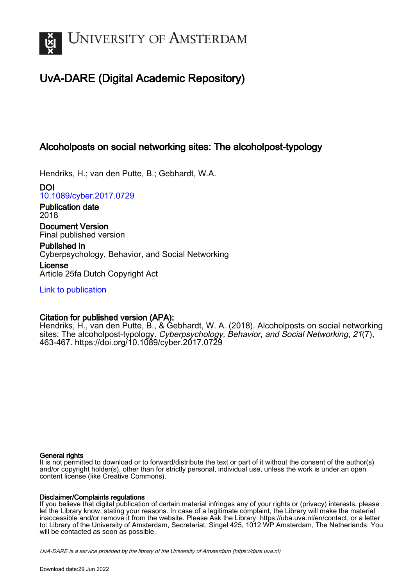

# UvA-DARE (Digital Academic Repository)

## Alcoholposts on social networking sites: The alcoholpost-typology

Hendriks, H.; van den Putte, B.; Gebhardt, W.A.

DOI [10.1089/cyber.2017.0729](https://doi.org/10.1089/cyber.2017.0729)

Publication date 2018

Document Version Final published version

Published in Cyberpsychology, Behavior, and Social Networking

License Article 25fa Dutch Copyright Act

[Link to publication](https://dare.uva.nl/personal/pure/en/publications/alcoholposts-on-social-networking-sites-the-alcoholposttypology(b6725580-d860-4e8e-807b-ef9211383939).html)

## Citation for published version (APA):

Hendriks, H., van den Putte, B., & Gebhardt, W. A. (2018). Alcoholposts on social networking sites: The alcoholpost-typology. Cyberpsychology, Behavior, and Social Networking, 21(7), 463-467. <https://doi.org/10.1089/cyber.2017.0729>

### General rights

It is not permitted to download or to forward/distribute the text or part of it without the consent of the author(s) and/or copyright holder(s), other than for strictly personal, individual use, unless the work is under an open content license (like Creative Commons).

### Disclaimer/Complaints regulations

If you believe that digital publication of certain material infringes any of your rights or (privacy) interests, please let the Library know, stating your reasons. In case of a legitimate complaint, the Library will make the material inaccessible and/or remove it from the website. Please Ask the Library: https://uba.uva.nl/en/contact, or a letter to: Library of the University of Amsterdam, Secretariat, Singel 425, 1012 WP Amsterdam, The Netherlands. You will be contacted as soon as possible.

UvA-DARE is a service provided by the library of the University of Amsterdam (http*s*://dare.uva.nl)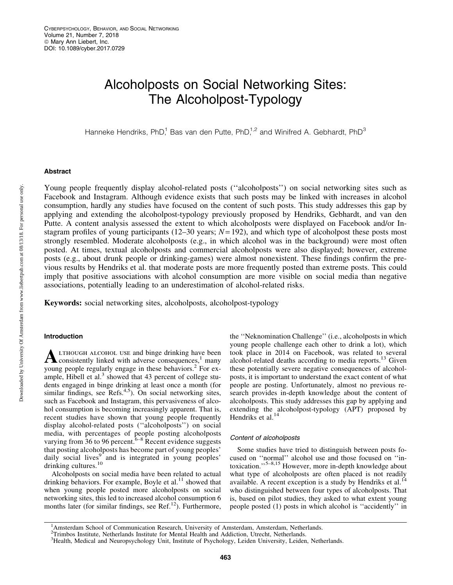# Alcoholposts on Social Networking Sites: The Alcoholpost-Typology

Hanneke Hendriks, PhD,<sup>1</sup> Bas van den Putte, PhD,<sup>1,2</sup> and Winifred A. Gebhardt, PhD<sup>3</sup>

#### Abstract

Young people frequently display alcohol-related posts (''alcoholposts'') on social networking sites such as Facebook and Instagram. Although evidence exists that such posts may be linked with increases in alcohol consumption, hardly any studies have focused on the content of such posts. This study addresses this gap by applying and extending the alcoholpost-typology previously proposed by Hendriks, Gebhardt, and van den Putte. A content analysis assessed the extent to which alcoholposts were displayed on Facebook and/or Instagram profiles of young participants ( $12-30$  years;  $N=192$ ), and which type of alcoholpost these posts most strongly resembled. Moderate alcoholposts (e.g., in which alcohol was in the background) were most often posted. At times, textual alcoholposts and commercial alcoholposts were also displayed; however, extreme posts (e.g., about drunk people or drinking-games) were almost nonexistent. These findings confirm the previous results by Hendriks et al. that moderate posts are more frequently posted than extreme posts. This could imply that positive associations with alcohol consumption are more visible on social media than negative associations, potentially leading to an underestimation of alcohol-related risks.

Keywords: social networking sites, alcoholposts, alcoholpost-typology

#### Introduction

 ${\bf A}$  LTHOUGH ALCOHOL USE and binge drinking have been<br>consistently linked with adverse consequences,<sup>1</sup> many young people regularly engage in these behaviors.<sup>2</sup> For example, Hibell et al. $3$  showed that 43 percent of college students engaged in binge drinking at least once a month (for similar findings, see  $\text{Refs.}^{4,5}$ ). On social networking sites, such as Facebook and Instagram, this pervasiveness of alcohol consumption is becoming increasingly apparent. That is, recent studies have shown that young people frequently display alcohol-related posts (''alcoholposts'') on social media, with percentages of people posting alcoholposts varying from 36 to 96 percent.<sup> $6-8$ </sup> Recent evidence suggests that posting alcoholposts has become part of young peoples' daily social lives<sup>9</sup> and is integrated in young peoples' drinking cultures.<sup>10</sup>

Alcoholposts on social media have been related to actual drinking behaviors. For example, Boyle et al. $<sup>11</sup>$  showed that</sup> when young people posted more alcoholposts on social networking sites, this led to increased alcohol consumption 6 months later (for similar findings, see Ref.<sup>12</sup>). Furthermore, the ''Neknomination Challenge'' (i.e., alcoholposts in which young people challenge each other to drink a lot), which took place in 2014 on Facebook, was related to several alcohol-related deaths according to media reports. $^{13}$  Given these potentially severe negative consequences of alcoholposts, it is important to understand the exact content of what people are posting. Unfortunately, almost no previous research provides in-depth knowledge about the content of alcoholposts. This study addresses this gap by applying and extending the alcoholpost-typology (APT) proposed by Hendriks et al.<sup>14</sup>

#### Content of alcoholposts

Some studies have tried to distinguish between posts focused on ''normal'' alcohol use and those focused on ''intoxication."<sup>5–8,15</sup> However, more in-depth knowledge about what type of alcoholposts are often placed is not readily available. A recent exception is a study by Hendriks et al. $^{14}$ who distinguished between four types of alcoholposts. That is, based on pilot studies, they asked to what extent young people posted (1) posts in which alcohol is ''accidently'' in

463

<sup>&</sup>lt;sup>1</sup>Amsterdam School of Communication Research, University of Amsterdam, Amsterdam, Netherlands.<br><sup>2</sup>Trimbos Institute, Netherlands Institute for Mental Health and Addiction, Utrecht, Netherlands.

<sup>&</sup>lt;sup>3</sup>Health, Medical and Neuropsychology Unit, Institute of Psychology, Leiden University, Leiden, Netherlands.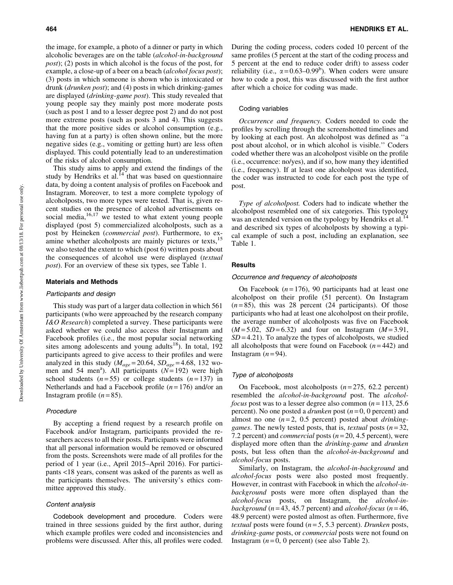the image, for example, a photo of a dinner or party in which alcoholic beverages are on the table (*alcohol-in-background post*); (2) posts in which alcohol is the focus of the post, for example, a close-up of a beer on a beach (*alcohol focus post*); (3) posts in which someone is shown who is intoxicated or drunk (*drunken post*); and (4) posts in which drinking-games are displayed (*drinking-game post*). This study revealed that young people say they mainly post more moderate posts (such as post 1 and to a lesser degree post 2) and do not post more extreme posts (such as posts 3 and 4). This suggests that the more positive sides or alcohol consumption (e.g., having fun at a party) is often shown online, but the more negative sides (e.g., vomiting or getting hurt) are less often displayed. This could potentially lead to an underestimation of the risks of alcohol consumption.

This study aims to apply and extend the findings of the study by Hendriks et al.<sup>14</sup> that was based on questionnaire data, by doing a content analysis of profiles on Facebook and Instagram. Moreover, to test a more complete typology of alcoholposts, two more types were tested. That is, given recent studies on the presence of alcohol advertisements on social media, $16,17$  we tested to what extent young people displayed (post 5) commercialized alcoholposts, such as a post by Heineken (*commercial post*). Furthermore, to examine whether alcoholposts are mainly pictures or texts,<sup>15</sup> we also tested the extent to which (post 6) written posts about the consequences of alcohol use were displayed (*textual post*). For an overview of these six types, see Table 1.

#### Materials and Methods

#### Participants and design

This study was part of a larger data collection in which 561 participants (who were approached by the research company *I&O Research*) completed a survey. These participants were asked whether we could also access their Instagram and Facebook profiles (i.e., the most popular social networking sites among adolescents and young adults<sup>18</sup>). In total,  $192$ participants agreed to give access to their profiles and were analyzed in this study ( $M_{age} = 20.64$ ,  $SD_{age} = 4.68$ , 132 women and 54 men<sup>a</sup>). All participants  $(N=192)$  were high school students  $(n=55)$  or college students  $(n=137)$  in Netherlands and had a Facebook profile (*n* = 176) and/or an Instagram profile  $(n=85)$ .

#### Procedure

By accepting a friend request by a research profile on Facebook and/or Instagram, participants provided the researchers access to all their posts. Participants were informed that all personal information would be removed or obscured from the posts. Screenshots were made of all profiles for the period of 1 year (i.e., April 2015–April 2016). For participants <18 years, consent was asked of the parents as well as the participants themselves. The university's ethics committee approved this study.

#### Content analysis

Codebook development and procedure. Coders were trained in three sessions guided by the first author, during which example profiles were coded and inconsistencies and problems were discussed. After this, all profiles were coded. During the coding process, coders coded 10 percent of the same profiles (5 percent at the start of the coding process and 5 percent at the end to reduce coder drift) to assess coder reliability (i.e.,  $\alpha = 0.63 - 0.99^b$ ). When coders were unsure how to code a post, this was discussed with the first author after which a choice for coding was made.

#### Coding variables

*Occurrence and frequency.* Coders needed to code the profiles by scrolling through the screenshotted timelines and by looking at each post. An alcoholpost was defined as ''a post about alcohol, or in which alcohol is visible.'' Coders coded whether there was an alcoholpost visible on the profile (i.e., occurrence: no/yes), and if so, how many they identified (i.e., frequency). If at least one alcoholpost was identified, the coder was instructed to code for each post the type of post.

*Type of alcoholpost.* Coders had to indicate whether the alcoholpost resembled one of six categories. This typology was an extended version on the typology by Hendriks et al.<sup>14</sup> and described six types of alcoholposts by showing a typical example of such a post, including an explanation, see Table 1.

#### **Results**

#### Occurrence and frequency of alcoholposts

On Facebook  $(n=176)$ , 90 participants had at least one alcoholpost on their profile (51 percent). On Instagram  $(n=85)$ , this was 28 percent (24 participants). Of those participants who had at least one alcoholpost on their profile, the average number of alcoholposts was five on Facebook  $(M=5.02, SD=6.32)$  and four on Instagram  $(M=3.91,$  $SD = 4.21$ ). To analyze the types of alcoholposts, we studied all alcoholposts that were found on Facebook  $(n=442)$  and Instagram  $(n=94)$ .

#### Type of alcoholposts

On Facebook, most alcoholposts (*n* = 275, 62.2 percent) resembled the *alcohol-in-background* post. The *alcoholfocus* post was to a lesser degree also common  $(n=113, 25.6)$ percent). No one posted a *drunken* post (*n* = 0, 0 percent) and almost no one (*n* = 2, 0.5 percent) posted about *drinkinggames*. The newly tested posts, that is, *textual* posts (*n* = 32, 7.2 percent) and *commercial* posts (*n* = 20, 4.5 percent), were displayed more often than the *drinking-game* and *drunken* posts, but less often than the *alcohol-in-background* and *alcohol-focus* posts.

Similarly, on Instagram, the *alcohol-in-background* and *alcohol-focus* posts were also posted most frequently. However, in contrast with Facebook in which the *alcohol-inbackground* posts were more often displayed than the *alcohol-focus* posts, on Instagram, the *alcohol-inbackground* ( $n = 43, 45.7$  percent) and *alcohol-focus* ( $n = 46$ , 48.9 percent) were posted almost as often. Furthermore, five *textual* posts were found  $(n=5, 5.3$  percent). *Drunken* posts, *drinking-game* posts, or *commercial* posts were not found on Instagram  $(n=0, 0$  percent) (see also Table 2).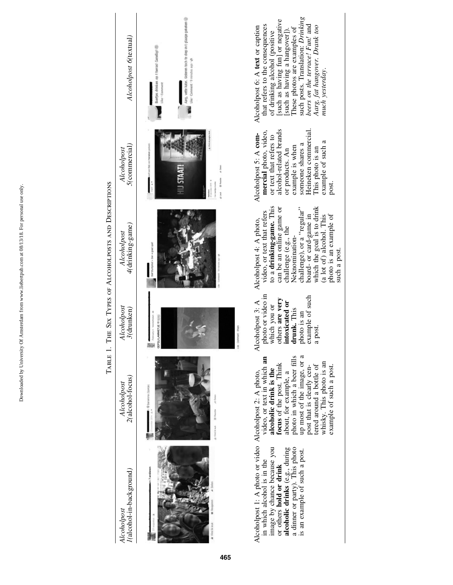Downloaded by University Of Amsterdam from www.liebertpub.com at 08/13/18. For personal use only. Downloaded by University Of Amsterdam from www.liebertpub.com at 08/13/18. For personal use only

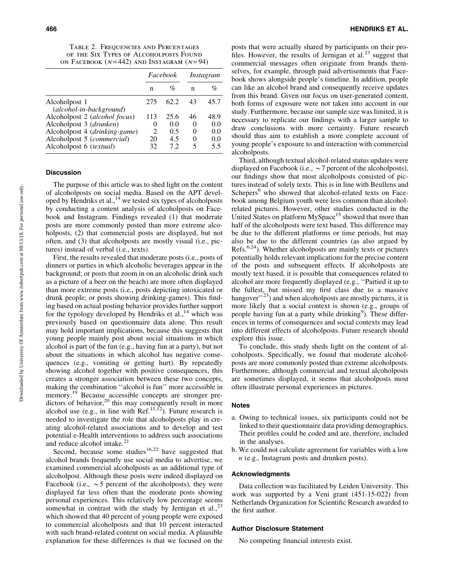TABLE 2. FREQUENCIES AND PERCENTAGES of the Six Types of Alcoholposts Found ON FACEBOOK  $(N=442)$  and Instagram  $(N=94)$ 

|                                          | Facebook                    |      | Instagram |      |
|------------------------------------------|-----------------------------|------|-----------|------|
|                                          | n                           | $\%$ | n         | $\%$ |
| Alcoholpost 1<br>(alcohol-in-background) | 275                         | 62.2 | 43        | 45.7 |
| Alcoholpost 2 (alcohol focus)            | 113                         | 25.6 | 46        | 48.9 |
| Alcoholpost 3 (drunken)                  | $\theta$                    | 0.0  | $\theta$  | 0.0  |
| Alcoholpost 4 (drinking-game)            | $\mathcal{D}_{\mathcal{L}}$ | 0.5  | $\Omega$  | 0.0  |
| Alcoholpost 5 (commercial)               | 20                          | 4.5  | 0         | 0.0  |
| Alcoholpost 6 (textual)                  | 32.                         | 72   | 5         | 5.5  |

#### Discussion

The purpose of this article was to shed light on the content of alcoholposts on social media. Based on the APT developed by Hendriks et al.,<sup>14</sup> we tested six types of alcoholposts by conducting a content analysis of alcoholposts on Facebook and Instagram. Findings revealed (1) that moderate posts are more commonly posted than more extreme alcoholposts, (2) that commercial posts are displayed, but not often, and (3) that alcoholposts are mostly visual (i.e., pictures) instead of verbal (i.e., texts).

First, the results revealed that moderate posts (i.e., posts of dinners or parties in which alcoholic beverages appear in the background; or posts that zoom in on an alcoholic drink such as a picture of a beer on the beach) are more often displayed than more extreme posts (i.e., posts depicting intoxicated or drunk people; or posts showing drinking-games). This finding based on actual posting behavior provides further support for the typology developed by Hendriks et al., $^{14}$  which was previously based on questionnaire data alone. This result may hold important implications, because this suggests that young people mainly post about social situations in which alcohol is part of the fun (e.g., having fun at a party), but not about the situations in which alcohol has negative consequences (e.g., vomiting or getting hurt). By repeatedly showing alcohol together with positive consequences, this creates a stronger association between these two concepts, making the combination ''alcohol is fun'' more accessible in memory.<sup>19</sup> Because accessible concepts are stronger predictors of behavior,<sup>20</sup> this may consequently result in more alcohol use (e.g., in line with Ref.<sup>11,12</sup>). Future research is needed to investigate the role that alcoholposts play in creating alcohol-related associations and to develop and test potential e-Health interventions to address such associations and reduce alcohol intake.<sup>21</sup>

Second, because some studies<sup>16,22</sup> have suggested that alcohol brands frequently use social media to advertise, we examined commercial alcoholposts as an additional type of alcoholpost. Although these posts were indeed displayed on Facebook (i.e.,  $\sim$  5 percent of the alcoholposts), they were displayed far less often than the moderate posts showing personal experiences. This relatively low percentage seems somewhat in contrast with the study by Jernigan et al., $^{23}$ which showed that 40 percent of young people were exposed to commercial alcoholposts and that 10 percent interacted with such brand-related content on social media. A plausible explanation for these differences is that we focused on the posts that were actually shared by participants on their profiles. However, the results of Jernigan et al.<sup>23</sup> suggest that commercial messages often originate from brands themselves, for example, through paid advertisements that Facebook shows alongside people's timeline. In addition, people can like an alcohol brand and consequently receive updates from this brand. Given our focus on user-generated content, both forms of exposure were not taken into account in our study. Furthermore, because our sample size was limited, it is necessary to replicate our findings with a larger sample to draw conclusions with more certainty. Future research should thus aim to establish a more complete account of young people's exposure to and interaction with commercial alcoholposts.

Third, although textual alcohol-related status updates were displayed on Facebook (i.e.,  $\sim$  7 percent of the alcoholposts), our findings show that most alcoholposts consisted of pictures instead of solely texts. This is in line with Beullens and Schepers<sup>6</sup> who showed that alcohol-related texts on Facebook among Belgium youth were less common than alcoholrelated pictures. However, other studies conducted in the United States on platform MySpace<sup>15</sup> showed that more than half of the alcoholposts were text based. This difference may be due to the different platforms or time periods, but may also be due to the different countries (as also argued by Refs. $6,24$ ). Whether alcoholposts are mainly texts or pictures potentially holds relevant implications for the precise content of the posts and subsequent effects. If alcoholposts are mostly text based, it is possible that consequences related to alcohol are more frequently displayed (e.g., ''Partied it up to the fullest, but missed my first class due to a massive hangover<sup> $\frac{1}{23}$ </sup>) and when alcoholposts are mostly pictures, it is more likely that a social context is shown (e.g., groups of people having fun at a party while drinking<sup>9</sup>). These differences in terms of consequences and social contexts may lead into different effects of alcoholposts. Future research should explore this issue.

To conclude, this study sheds light on the content of alcoholposts. Specifically, we found that moderate alcoholposts are more commonly posted than extreme alcoholposts. Furthermore, although commercial and textual alcoholposts are sometimes displayed, it seems that alcoholposts most often illustrate personal experiences in pictures.

#### **Notes**

- a. Owing to technical issues, six participants could not be linked to their questionnaire data providing demographics. Their profiles could be coded and are, therefore, included in the analyses.
- b. We could not calculate agreement for variables with a low *n* (e.g., Instagram posts and drunken posts).

#### Acknowledgments

Data collection was facilitated by Leiden University. This work was supported by a Veni grant (451-15-022) from Netherlands Organization for Scientific Research awarded to the first author.

#### Author Disclosure Statement

No competing financial interests exist.